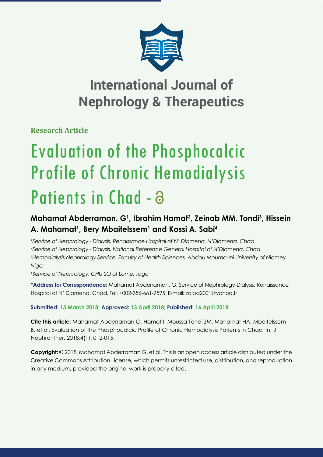

# **International Journal of Nephrology & Therapeutics**

**Research Article**

# Evaluation of the Phosphocalcic Profile of Chronic Hemodialysis Patients in Chad - a

## **Mahamat Abderraman. G1 , Ibrahim Hamat2 , Zeinab MM. Tondi3 , Hissein A. Mahamat1 , Bery Mbaitelssem1 and Kossi A. Sabi4**

 *Service of Nephrology - Dialysis, Renaissance Hospital of N' Djamena, N'Djamena, Chad Service of Nephrology - Dialysis, National Reference General Hospital of N'Djamena, Chad Hemodialysis Nephrology Service, Faculty of Health Sciences, Abdou Moumouni University of Niamey, Niger*

*4 Service of Nephrology, CHU SO of Lome, Togo*

**\*Address for Correspondence:** Mahamat Abderraman. G, Service of Nephrology-Dialysis, Renaissance Hospital of N' Djamena, Chad, Tel: +002-356-661-9595; E-mail: zalba2001@yahoo.fr

### **Submitted: 15 March 2018; Approved: 13 April 2018; Published: 16 April 2018**

**Cite this article:** Mahamat Abderraman G, Hamat I, Moussa Tondi ZM, Mahamat HA, Mbaitelssem B, et al. Evaluation of the Phosphocalcic Profile of Chronic Hemodialysis Patients in Chad. Int J Nephrol Ther. 2018;4(1): 012-015.

**Copyright:** © 2018 Mahamat Abderraman G, et al. This is an open access article distributed under the Creative Commons Attribution License, which permits unrestricted use, distribution, and reproduction in any medium, provided the original work is properly cited.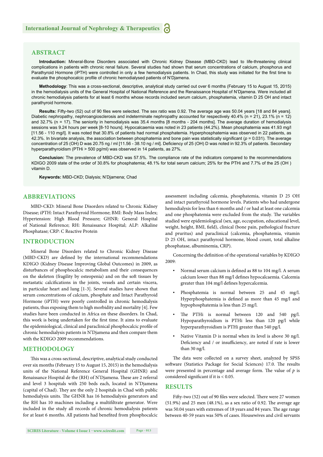#### **ABSTRACT**

**Introduction:** Mineral-Bone Disorders associated with Chronic Kidney Disease (MBD-CKD) lead to life-threatening clinical complications in patients with chronic renal failure. Several studies had shown that serum concentrations of calcium, phosphorus and Parathyroid Hormone (iPTH) were controlled in only a few hemodialysis patients. In Chad, this study was initiated for the first time to evaluate the phosphocalcic profile of chronic hemodialysed patients of N'Djamena.

**Methodology**: This was a cross-sectional, descriptive, analytical study carried out over 6 months (February 15 to August 15, 2015) in the hemodialysis units of the General Hospital of National Reference and the Renaissance Hospital of N'Djamena. Were included all chronic hemodialysis patients for at least 6 months whose records included serum calcium, phosphatemia, vitamin D 25 OH and intact parathyroid hormone.

**Results:** Fifty-two (52) out of 90 files were selected. The sex ratio was 0.92. The average age was 50.04 years [18 and 84 years]. Diabetic nephropathy, nephroangiosclerosis and indeterminate nephropathy accounted for respectively 40.4% (n = 21), 23.1% (n = 12) and 32.7% (n = 17). The seniority in hemodialysis was 35.4 months [8 months - 204 months]. The average duration of hemodialysis sessions was 9.24 hours per week [8-10 hours]. Hypocalcaemia was noted in 23 patients (44.2%). Mean phosphatemia was 41.93 mg/l [11.56 - 110 mg/l]. It was noted that 30.8% of patients had normal phosphatemia. Hyperphosphatemia was observed in 22 patients, as 42.3%. In bivariate analysis, the association between phosphatemia and bone pain was statistically significant ( $p = 0.031$ ). The average concentration of 25 (OH) D was 20.75 ng / ml [11.56 - 38.10 ng / ml]. Deficiency of 25 (OH) D was noted in 92.3% of patients. Secondary hyperparathyroidism (PTHi > 500 pg/ml) was observed in 14 patients, as 27%.

**Conclusion:** The prevalence of MBD-CKD was 57.5%. The compliance rate of the indicators compared to the recommendations KDIGO 2009 state of the order of 30.8% for phosphatemia; 48.1% for total serum calcium; 25% for the PTHi and 7.7% of the 25 (OH ) vitamin D.

**Keywords:** MBD-CKD; Dialysis; N'Djamena; Chad

#### **ABBREVIATIONS**

MBD-CKD: Mineral Bone Disorders related to Chronic Kidney Disease; iPTH: Intact Parathyroid Hormone; BMI: Body Mass Index; Hypertension: High Blood Pressure; GHNR: General Hospital of National Reference; RH: Renaissance Hospital; ALP: Alkaline Phosphatase; CRP: C Reactive Protein

#### **INTRODUCTION**

Mineral Bone Disorders related to Chronic Kidney Disease (MBD-CKD) are defined by the international recommendations KDIGO (Kidney Disease Improving Global Outcomes) in 2009, as disturbances of phosphocalcic metabolism and their consequences on the skeleton (fragility by osteopenia) and on the soft tissues by metastatic calcifications in the joints, vessels and certain viscera, in particular heart and lung [1-3]. Several studies have shown that serum concentrations of calcium, phosphate and Intact Parathyroid Hormone (iPTH) were poorly controlled in chronic hemodialysis patients, thus exposing them to high morbidity and mortality [4]. Few studies have been conducted in Africa on these disorders. In Chad, this work is being undertaken for the first time. It aims to evaluate the epidemiological, clinical and paraclinical phosphocalcic profile of chronic hemodialysis patients in N'Djamena and then compare them with the KDIGO 2009 recommendations.

#### **METHODOLOGY**

This was a cross-sectional, descriptive, analytical study conducted over six months (February 15 to August 15, 2015) in the hemodialysis units of the National Reference General Hospital (GHNR) and Renaissance Hospital de the (RH) of N'Djamena. These are 2 referral and level 3 hospitals with 250 beds each, located in N'Djamena (capital of Chad). They are the only 2 hospitals in Chad with public hemodialysis units. The GHNR has 16 hemodialysis generators and the RH has 10 machines including a multifiltrate generator. Were included in the study all records of chronic hemodialysis patients for at least 6 months. All patients had benefited from phosphocalcic assessment including calcemia, phosphatemia, vitamin D 25 OH and intact parathyroid hormone levels. Patients who had undergone hemodialysis for less than 6 months and / or had at least one calcemia and one phosphatemia were excluded from the study. The variables studied were epidemiological (sex, age, occupation, educational level, weight, height, BMI, field), clinical (bone pain, pathological fracture and pruritus) and paraclinical (calcemia, phosphatemia, vitamin D 25 OH, intact parathyroid hormone, blood count, total alkaline phosphatase, albuminemia, CRP).

Concerning the definition of the operational variables by KDIGO 2009:

- Normal serum calcium is defined as 88 to 104 mg/l. A serum calcium lower than 88 mg/l defines hypocalcaemia. Calcemia greater than 104 mg/l defines hypercalcemia.
- Phosphatemia is normal between 25 and 45 mg/l. Hyperphosphatemia is defined as more than 45 mg/l and hypophosphatemia is less than 25 mg/l.
- The PTHi is normal between 120 and 540 pg/l. Hypoparathyroidism is PTHi less than 120 pg/l while hyperparathyroidism is PTHi greater than 540 pg/l.
- Native Vitamin D is normal when its level is above 30 ng/l. Deficiency and / or insufficiency, are noted if rate is lower than 30 ng/l.

The data were collected on a survey sheet, analyzed by SPSS software (Statistics Package for Social Sciences) 17.0. The results were presented in percentage and average form. The value of  $p$  is considered significant if it is  $< 0.05$ .

#### **RESULTS**

Fifty-two (52) out of 90 files were selected. There were 27 women  $(51.9%)$  and 25 men  $(48.1%)$ , as a sex ratio of 0.92. The average age was 50.04 years with extremes of 18 years and 84 years. The age range between 40-59 years was 50% of cases. Housewives and civil servants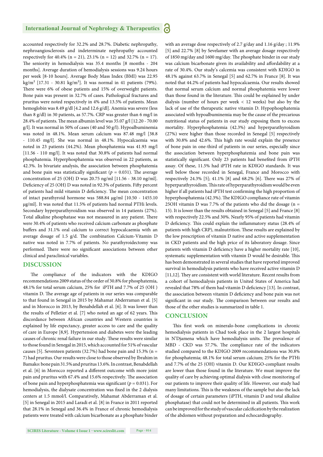#### **International Journal of Nephrology & Therapeutics** 6

accounted respectively for 32.2% and 28.7%. Diabetic nephropathy, nephroangiosclerosis and indeterminate nephropathy accounted respectively for 40.4% (n = 21), 23.1% (n = 12) and 32.7% (n = 17). The seniority in hemodialysis was 35.4 months [8 months - 204 months]. Average duration of hemodialysis sessions was 9.24 hours per week [8-10 hours]. Average Body Mass Index (BMI) was 22.95 kg/m<sup>2</sup> [17.31 - 30.81 kg/m<sup>2</sup>]. It was normal in 41 patients (79%). There were 6% of obese patients and 15% of overweight patients. Bone pain was present in 32.7% of cases. Pathological fractures and pruritus were noted respectively in 4% and 13.5% of patients. Mean hemoglobin was 8.49 g/dl [4.2 and 12.6 g/dl]. Anemia was severe (less than 8 g/dl) in 30 patients, as 57.7%. CRP was greater than 6 mg/l in 28.4% of patients. The mean albumin level was  $35.07$  g/l  $[12.20 - 70.00]$ g/l]. It was normal in 50% of cases (40 and 50 g/l). Hypoalbuminemia was noted in 48.1%. Mean serum calcium was 87.48 mg/l [38.8 - 110.45 mg/l]. She was normal in 48.1%. Hypocalcaemia was noted in 23 patients (44.2%). Mean phosphatemia was 41.93 mg/l [11.56 - 110 mg/l]. It was noted that 30.8% of patients had normal phosphatemia. Hyperphosphatemia was observed in 22 patients, as 42.3%. In bivariate analysis, the association between phosphatemia and bone pain was statistically significant ( $p = 0.031$ ). The average concentration of 25 (OH) D was 20.75 ng/ml [11.56 - 38.10 ng/ml]. Deficiency of 25 (OH) D was noted in 92.3% of patients. Fifty percent of patients had mild vitamin D deficiency. The mean concentration of intact parathyroid hormone was 588.84 μg/ml [10.50 - 1455.10 μg/ml]. It was noted that 11.5% of patients had normal PTHi levels. Secondary hyperparathyroidism was observed in 14 patients (27%). Total alkaline phosphatase was not measured in any patient. There were 30.4% of patients who received calcium carbonate as phosphate buffers and 31.1% oral calcium to correct hypocalcaemia with an average dosage of  $1.5$  g/d. The combination Calcium-Vitamin D native was noted in 7.7% of patients. No parathyroidectomy was performed. There were no significant associations between other clinical and paraclinical variables.

#### **DISCUSSION**

The compliance of the indicators with the KDIGO recommendations 2009 status of the order of 30.8% for phosphatemia, 48.1% for total serum calcium, 25% for iPTH and 7.7% of 25 (OH ) vitamin D. The average age of patients in our series was comparable to that found in Senegal in 2015 by Mahamat Abderraman et al. [5] and in Morocco in 2013, by Benabdellah et al. [6]. It was lower than the results of Pelletier et al. [7] who noted an age of 62 years. This discordance between African countries and Western countries is explained by life expectancy, greater access to care and the quality of care in Europe [8,9]. Hypertension and diabetes were the leading causes of chronic renal failure in our study. These results were similar to those found in Senegal in 2015, which accounted for 51% of vascular causes [5]. Seventeen patients (32.7%) had bone pain and 15.3% (n = 7) had pruritus. Our results were close to those observed by Ibrahim in Bamako: bone pain 31.5% and pruritus 13.6%. In contrast, Benabdellah et al. [6] in Morocco reported a different outcome with more joint pain and pruritus with 67.4% and 15.6% respectively. The association of bone pain and hyperphosphatemia was significant ( $p = 0.031$ ). For hemodialysis, the dialysate concentration was fixed in the 2 dialysis centers at 1.5 mmol/l. Comparatively, Mahamat Abderraman et al. [5] in Senegal in 2015 and Laradi et al. [8] in France in 2011 reported that 28.1% in Senegal and 36.4% in France of chronic hemodialysis patients were treated with calcium bicarbonate as a phosphate binder

with an average dose respectively of 2.7 g/day and 1.16 g/day ; 11.9% [5] and 22.7% [8] by Sevelamer with an average dosage respectively of 1850 mg/day and 1600 mg/day. The phosphate binder in our study was calcium bicarbonate given its availability and affordability at a rate of 30.4%. Our study's calcemia was consistent with KDIGO in 48.1% against 63.7% in Senegal [5] and 62.7% in France [8]. It was noted that 44.2% of patients had hypocalcaemia. Our results showed that normal serum calcium and normal phosphatemia were lower than those found in the literature. This could be explained by under dialysis (number of hours per week < 12 weeks) but also by the lack of use of the therapeutic native vitamin D. Hypophosphatemia associated with hypoalbuminemia may be the cause of the precarious nutritional status of patients in our study exposing them to excess mortality. Hyperphosphatemia (42.3%) and hyperparathyroidism (27%) were higher than those recorded in Senegal [5] respectively with 30.8% and 42.6%. This high rate would explain the presence of bone pain in one-third of patients in our series, especially since the association between hyperphosphatemia and bone pain was statistically significant. Only 23 patients had benefited from iPTH assay. Of these, 11.5% had iPTH rate in KDIGO standards. It was well below those recorded in Senegal, France and Morocco with respectively 24.3% [5]; 41.1% [8] and 68.2% [6]. There was 27% of hyperparathyroidism. This rate of hyperparathyroidism would be even higher if all patients had iPTH test confirming the high proportion of hyperphosphatemia (42.3%). The KDIGO compliance rate of vitamin 25OH vitamin D was 7.7% of the patients who did the dosage (n = 15). It is lower than the results obtained in Senegal [5] and France [8] with respectively 22.5% and 30%. Nearly 95% of patients had vitamin D deficiency. This could explain the inflammatory status (28.4% of patients with high CRP), malnutrition. These results are explained by the low prescription of vitamin D native and active supplementation in CKD patients and the high price of its laboratory dosage. Since patients with vitamin D deficiency have a higher mortality rate [10], systematic supplementation with vitamin D would be desirable. This has been demonstrated in several studies that have reported improved survival in hemodialysis patients who have received active vitamin D  $[11, 12]$ . They are consistent with world literature. Recent results from a cohort of hemodialysis patients in United States of America had revealed that 78% of them had vitamin D deficiency [13]. In contrast, the association between vitamin D deficiency and bone pain was not significant in our study. The comparison between our results and those of the other studies is summarized in table 1.

#### **CONCLUSION**

This first work on mineralo-bone complications in chronic hemodialysis patients in Chad took place in the 2 largest hospitals in N'Djamena which have hemodialysis units. The prevalence of MBD - CKD was 57.7%. The compliance rate of the indicators studied compared to the KDIGO 2009 recommendations was 30.8% for phosphatemia; 48.1% for total serum calcium; 25% for the PTHi and 7.7% of the 25 (OH) vitamin D. Our KDIGO-compliant results are lower than those found in the literature. We must improve the quality of care by achieving optimal dialysis with close monitoring of our patients to improve their quality of life. However, our study had many limitations. This is the weakness of the sample but also the lack of dosage of certain parameters (iPTH, vitamin D and total alkaline phosphatase) that could not be determined in all patients. This work can be improved for the study of vascular calcification by the realization of the abdomen without preparation and echocardiography.